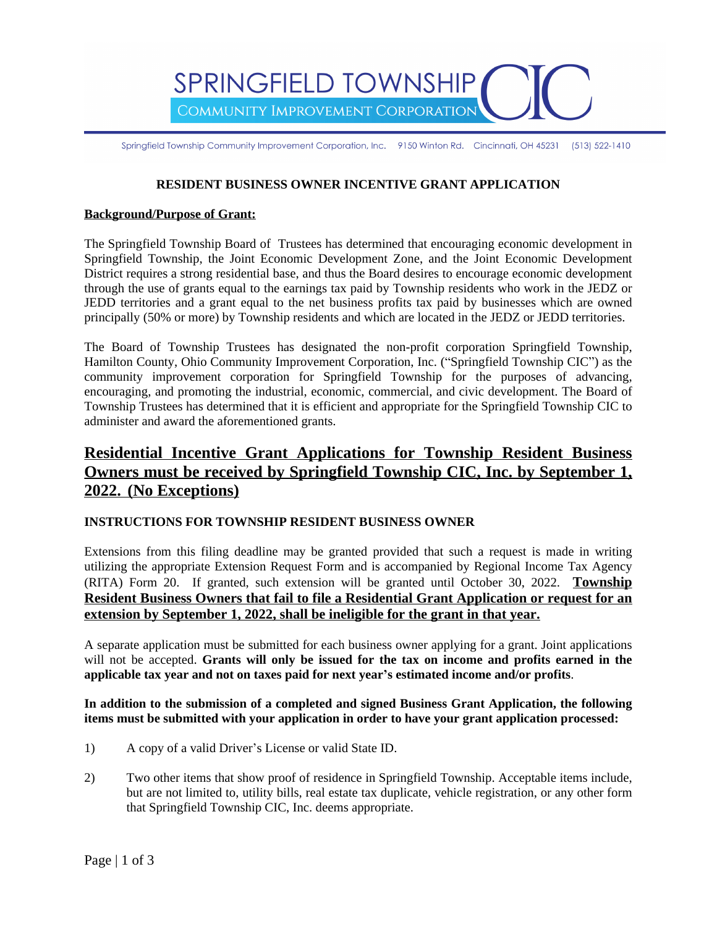SPRINGFIELD TOWNSHIP COMMUNITY IMPROVEMENT CORPORATION

Springfield Township Community Improvement Corporation, Inc. 9150 Winton Rd. Cincinnati, OH 45231 (513) 522-1410

### **RESIDENT BUSINESS OWNER INCENTIVE GRANT APPLICATION**

#### **Background/Purpose of Grant:**

The Springfield Township Board of Trustees has determined that encouraging economic development in Springfield Township, the Joint Economic Development Zone, and the Joint Economic Development District requires a strong residential base, and thus the Board desires to encourage economic development through the use of grants equal to the earnings tax paid by Township residents who work in the JEDZ or JEDD territories and a grant equal to the net business profits tax paid by businesses which are owned principally (50% or more) by Township residents and which are located in the JEDZ or JEDD territories.

The Board of Township Trustees has designated the non-profit corporation Springfield Township, Hamilton County, Ohio Community Improvement Corporation, Inc. ("Springfield Township CIC") as the community improvement corporation for Springfield Township for the purposes of advancing, encouraging, and promoting the industrial, economic, commercial, and civic development. The Board of Township Trustees has determined that it is efficient and appropriate for the Springfield Township CIC to administer and award the aforementioned grants.

# **Residential Incentive Grant Applications for Township Resident Business Owners must be received by Springfield Township CIC, Inc. by September 1, 2022. (No Exceptions)**

### **INSTRUCTIONS FOR TOWNSHIP RESIDENT BUSINESS OWNER**

Extensions from this filing deadline may be granted provided that such a request is made in writing utilizing the appropriate Extension Request Form and is accompanied by Regional Income Tax Agency (RITA) Form 20. If granted, such extension will be granted until October 30, 2022. **Township Resident Business Owners that fail to file a Residential Grant Application or request for an extension by September 1, 2022, shall be ineligible for the grant in that year.**

A separate application must be submitted for each business owner applying for a grant. Joint applications will not be accepted. **Grants will only be issued for the tax on income and profits earned in the applicable tax year and not on taxes paid for next year's estimated income and/or profits**.

**In addition to the submission of a completed and signed Business Grant Application, the following items must be submitted with your application in order to have your grant application processed:** 

- 1) A copy of a valid Driver's License or valid State ID.
- 2) Two other items that show proof of residence in Springfield Township. Acceptable items include, but are not limited to, utility bills, real estate tax duplicate, vehicle registration, or any other form that Springfield Township CIC, Inc. deems appropriate.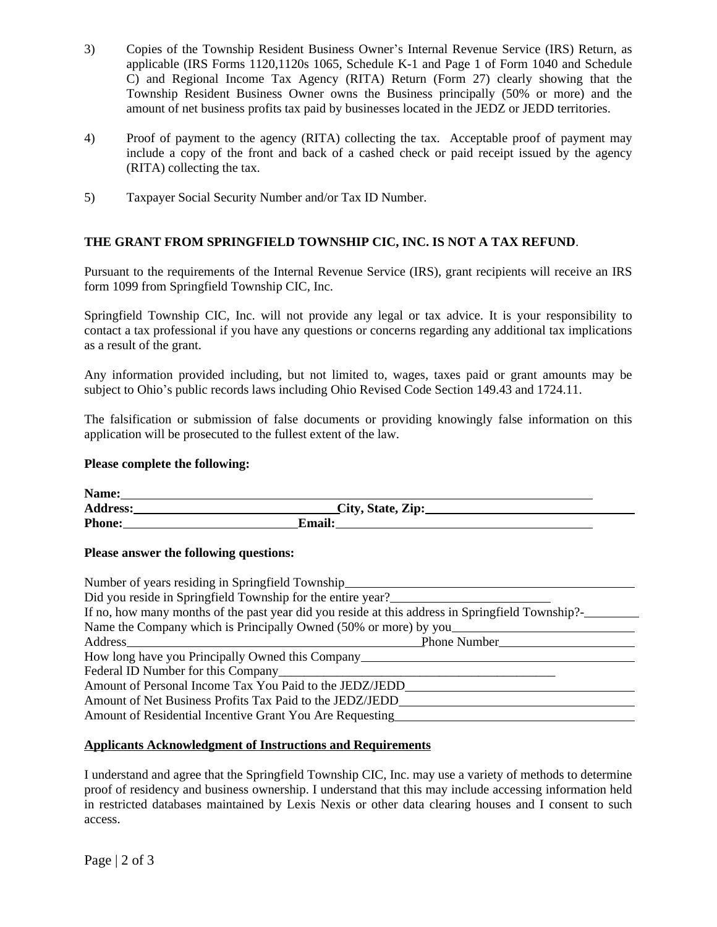- 3) Copies of the Township Resident Business Owner's Internal Revenue Service (IRS) Return, as applicable (IRS Forms 1120,1120s 1065, Schedule K-1 and Page 1 of Form 1040 and Schedule C) and Regional Income Tax Agency (RITA) Return (Form 27) clearly showing that the Township Resident Business Owner owns the Business principally (50% or more) and the amount of net business profits tax paid by businesses located in the JEDZ or JEDD territories.
- 4) Proof of payment to the agency (RITA) collecting the tax. Acceptable proof of payment may include a copy of the front and back of a cashed check or paid receipt issued by the agency (RITA) collecting the tax.
- 5) Taxpayer Social Security Number and/or Tax ID Number.

## **THE GRANT FROM SPRINGFIELD TOWNSHIP CIC, INC. IS NOT A TAX REFUND**.

Pursuant to the requirements of the Internal Revenue Service (IRS), grant recipients will receive an IRS form 1099 from Springfield Township CIC, Inc.

Springfield Township CIC, Inc. will not provide any legal or tax advice. It is your responsibility to contact a tax professional if you have any questions or concerns regarding any additional tax implications as a result of the grant.

Any information provided including, but not limited to, wages, taxes paid or grant amounts may be subject to Ohio's public records laws including Ohio Revised Code Section 149.43 and 1724.11.

The falsification or submission of false documents or providing knowingly false information on this application will be prosecuted to the fullest extent of the law.

### **Please complete the following:**

| Name:    |                   |  |
|----------|-------------------|--|
| Address: | City, State, Zip: |  |
| Phone:   | <b>Email:</b>     |  |

### **Please answer the following questions:**

| Number of years residing in Springfield Township                                                                                                 |  |
|--------------------------------------------------------------------------------------------------------------------------------------------------|--|
| Did you reside in Springfield Township for the entire year?                                                                                      |  |
| If no, how many months of the past year did you reside at this address in Springfield Township?-                                                 |  |
| Name the Company which is Principally Owned (50% or more) by you                                                                                 |  |
| Address <u>and the second contract of the second contract of the second contract of the second contract of the second</u><br><b>Phone Number</b> |  |
| How long have you Principally Owned this Company_________________________________                                                                |  |
|                                                                                                                                                  |  |
| Amount of Personal Income Tax You Paid to the JEDZ/JEDD                                                                                          |  |
| Amount of Net Business Profits Tax Paid to the JEDZ/JEDD                                                                                         |  |
| Amount of Residential Incentive Grant You Are Requesting                                                                                         |  |

### **Applicants Acknowledgment of Instructions and Requirements**

I understand and agree that the Springfield Township CIC, Inc. may use a variety of methods to determine proof of residency and business ownership. I understand that this may include accessing information held in restricted databases maintained by Lexis Nexis or other data clearing houses and I consent to such access.